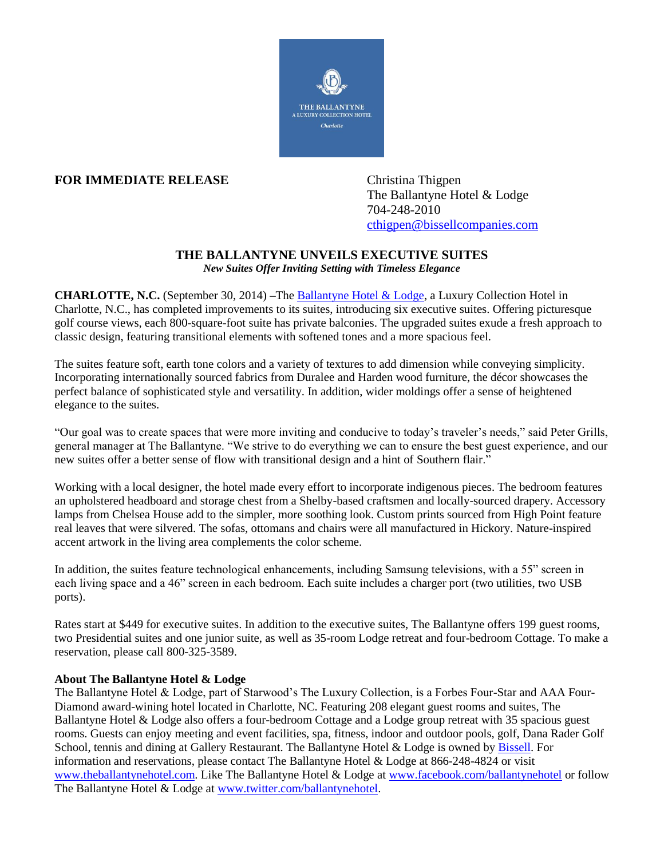

## **FOR IMMEDIATE RELEASE** Christina Thigpen

The Ballantyne Hotel & Lodge 704-248-2010 [cthigpen@bissellcompanies.com](mailto:cthigpen@bissellcompanies.com)

## **THE BALLANTYNE UNVEILS EXECUTIVE SUITES**

*New Suites Offer Inviting Setting with Timeless Elegance*

**CHARLOTTE, N.C.** (September 30, 2014) **–**The [Ballantyne Hotel & Lodge,](http://www.theballantynehotel.com/EO_overview.cfm) a Luxury Collection Hotel in Charlotte, N.C., has completed improvements to its suites, introducing six executive suites. Offering picturesque golf course views, each 800-square-foot suite has private balconies. The upgraded suites exude a fresh approach to classic design, featuring transitional elements with softened tones and a more spacious feel.

The suites feature soft, earth tone colors and a variety of textures to add dimension while conveying simplicity. Incorporating internationally sourced fabrics from Duralee and Harden wood furniture, the décor showcases the perfect balance of sophisticated style and versatility. In addition, wider moldings offer a sense of heightened elegance to the suites.

"Our goal was to create spaces that were more inviting and conducive to today's traveler's needs," said Peter Grills, general manager at The Ballantyne. "We strive to do everything we can to ensure the best guest experience, and our new suites offer a better sense of flow with transitional design and a hint of Southern flair."

Working with a local designer, the hotel made every effort to incorporate indigenous pieces. The bedroom features an upholstered headboard and storage chest from a Shelby-based craftsmen and locally-sourced drapery. Accessory lamps from Chelsea House add to the simpler, more soothing look. Custom prints sourced from High Point feature real leaves that were silvered. The sofas, ottomans and chairs were all manufactured in Hickory. Nature-inspired accent artwork in the living area complements the color scheme.

In addition, the suites feature technological enhancements, including Samsung televisions, with a 55" screen in each living space and a 46" screen in each bedroom. Each suite includes a charger port (two utilities, two USB ports).

Rates start at \$449 for executive suites. In addition to the executive suites, The Ballantyne offers 199 guest rooms, two Presidential suites and one junior suite, as well as 35-room Lodge retreat and four-bedroom Cottage. To make a reservation, please call 800-325-3589.

## **About The Ballantyne Hotel & Lodge**

The Ballantyne Hotel & Lodge, part of Starwood's The Luxury Collection, is a Forbes Four-Star and AAA Four-Diamond award-wining hotel located in Charlotte, NC. Featuring 208 elegant guest rooms and suites, The Ballantyne Hotel & Lodge also offers a four-bedroom Cottage and a Lodge group retreat with 35 spacious guest rooms. Guests can enjoy meeting and event facilities, spa, fitness, indoor and outdoor pools, golf, Dana Rader Golf School, tennis and dining at Gallery Restaurant. The Ballantyne Hotel & Lodge is owned by [Bissell.](http://www.bissellcompanies.com/) For information and reservations, please contact The Ballantyne Hotel & Lodge at 866-248-4824 or visit [www.theballantynehotel.com.](http://www.theballantynehotel.com/) Like The Ballantyne Hotel & Lodge at [www.facebook.com/ballantynehotel](http://www.facebook.com/ballantynehotel) or follow The Ballantyne Hotel & Lodge at [www.twitter.com/ballantynehotel.](http://www.twitter.com/ballantynehotel)